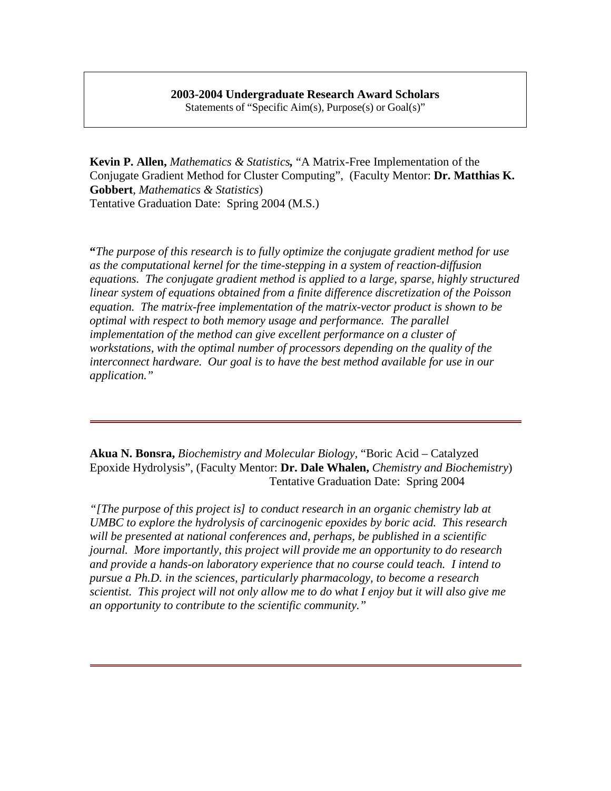## **2003-2004 Undergraduate Research Award Scholars**

Statements of "Specific Aim(s), Purpose(s) or Goal(s)"

**Kevin P. Allen,** *Mathematics & Statistics,* "A Matrix-Free Implementation of the Conjugate Gradient Method for Cluster Computing", (Faculty Mentor: **Dr. Matthias K. Gobbert**, *Mathematics & Statistics*) Tentative Graduation Date: Spring 2004 (M.S.)

**"***The purpose of this research is to fully optimize the conjugate gradient method for use as the computational kernel for the time-stepping in a system of reaction-diffusion equations. The conjugate gradient method is applied to a large, sparse, highly structured linear system of equations obtained from a finite difference discretization of the Poisson equation. The matrix-free implementation of the matrix-vector product is shown to be optimal with respect to both memory usage and performance. The parallel implementation of the method can give excellent performance on a cluster of workstations, with the optimal number of processors depending on the quality of the interconnect hardware. Our goal is to have the best method available for use in our application."*

**Akua N. Bonsra,** *Biochemistry and Molecular Biology,* "Boric Acid – Catalyzed Epoxide Hydrolysis", (Faculty Mentor: **Dr. Dale Whalen,** *Chemistry and Biochemistry*) Tentative Graduation Date: Spring 2004

*"[The purpose of this project is] to conduct research in an organic chemistry lab at UMBC to explore the hydrolysis of carcinogenic epoxides by boric acid. This research will be presented at national conferences and, perhaps, be published in a scientific journal. More importantly, this project will provide me an opportunity to do research and provide a hands-on laboratory experience that no course could teach. I intend to pursue a Ph.D. in the sciences, particularly pharmacology, to become a research scientist. This project will not only allow me to do what I enjoy but it will also give me an opportunity to contribute to the scientific community."*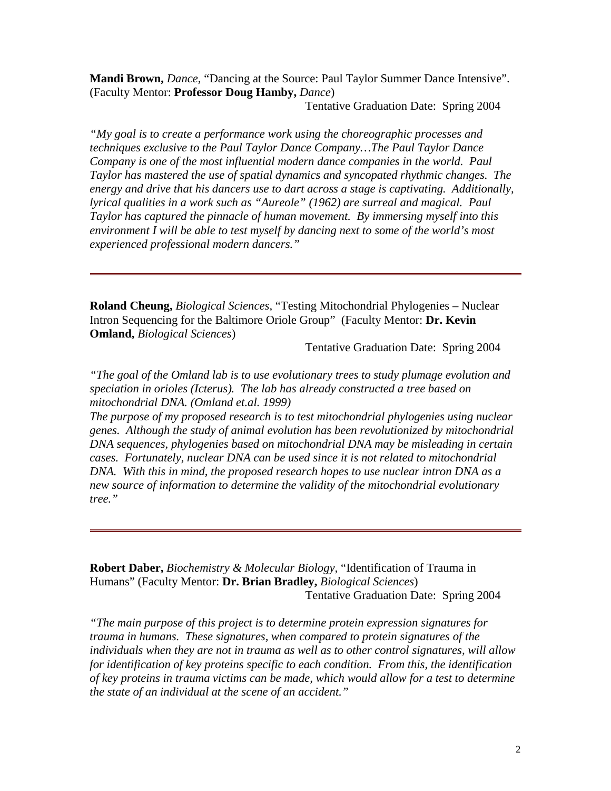**Mandi Brown,** *Dance,* "Dancing at the Source: Paul Taylor Summer Dance Intensive". (Faculty Mentor: **Professor Doug Hamby,** *Dance*)

Tentative Graduation Date: Spring 2004

*"My goal is to create a performance work using the choreographic processes and techniques exclusive to the Paul Taylor Dance Company…The Paul Taylor Dance Company is one of the most influential modern dance companies in the world. Paul Taylor has mastered the use of spatial dynamics and syncopated rhythmic changes. The energy and drive that his dancers use to dart across a stage is captivating. Additionally, lyrical qualities in a work such as "Aureole" (1962) are surreal and magical. Paul Taylor has captured the pinnacle of human movement. By immersing myself into this environment I will be able to test myself by dancing next to some of the world's most experienced professional modern dancers."*

**Roland Cheung,** *Biological Sciences,* "Testing Mitochondrial Phylogenies – Nuclear Intron Sequencing for the Baltimore Oriole Group" (Faculty Mentor: **Dr. Kevin Omland,** *Biological Sciences*)

Tentative Graduation Date: Spring 2004

*"The goal of the Omland lab is to use evolutionary trees to study plumage evolution and speciation in orioles (Icterus). The lab has already constructed a tree based on mitochondrial DNA. (Omland et.al. 1999)*

*The purpose of my proposed research is to test mitochondrial phylogenies using nuclear genes. Although the study of animal evolution has been revolutionized by mitochondrial DNA sequences, phylogenies based on mitochondrial DNA may be misleading in certain cases. Fortunately, nuclear DNA can be used since it is not related to mitochondrial DNA. With this in mind, the proposed research hopes to use nuclear intron DNA as a new source of information to determine the validity of the mitochondrial evolutionary tree."*

**Robert Daber,** *Biochemistry & Molecular Biology,* "Identification of Trauma in Humans" (Faculty Mentor: **Dr. Brian Bradley,** *Biological Sciences*) Tentative Graduation Date: Spring 2004

*"The main purpose of this project is to determine protein expression signatures for trauma in humans. These signatures, when compared to protein signatures of the individuals when they are not in trauma as well as to other control signatures, will allow for identification of key proteins specific to each condition. From this, the identification of key proteins in trauma victims can be made, which would allow for a test to determine the state of an individual at the scene of an accident."*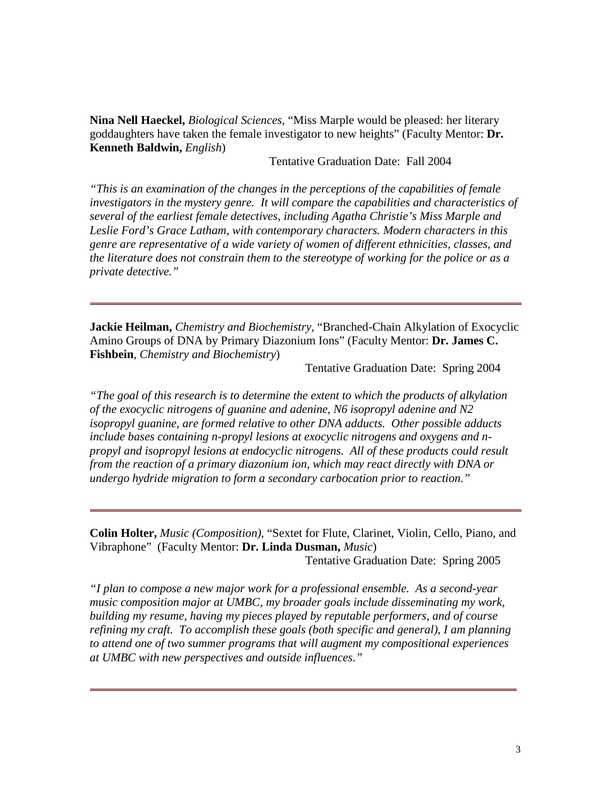**Nina Nell Haeckel,** *Biological Sciences,* "Miss Marple would be pleased: her literary goddaughters have taken the female investigator to new heights" (Faculty Mentor: **Dr. Kenneth Baldwin,** *English*)

Tentative Graduation Date: Fall 2004

*"This is an examination of the changes in the perceptions of the capabilities of female investigators in the mystery genre. It will compare the capabilities and characteristics of several of the earliest female detectives, including Agatha Christie's Miss Marple and Leslie Ford's Grace Latham, with contemporary characters. Modern characters in this genre are representative of a wide variety of women of different ethnicities, classes, and the literature does not constrain them to the stereotype of working for the police or as a private detective."*

**Jackie Heilman,** *Chemistry and Biochemistry,* "Branched-Chain Alkylation of Exocyclic Amino Groups of DNA by Primary Diazonium Ions" (Faculty Mentor: **Dr. James C. Fishbein***, Chemistry and Biochemistry*)

Tentative Graduation Date: Spring 2004

*"The goal of this research is to determine the extent to which the products of alkylation of the exocyclic nitrogens of guanine and adenine, N6 isopropyl adenine and N2 isopropyl guanine, are formed relative to other DNA adducts. Other possible adducts include bases containing n-propyl lesions at exocyclic nitrogens and oxygens and npropyl and isopropyl lesions at endocyclic nitrogens. All of these products could result from the reaction of a primary diazonium ion, which may react directly with DNA or undergo hydride migration to form a secondary carbocation prior to reaction."*

**Colin Holter,** *Music (Composition),* "Sextet for Flute, Clarinet, Violin, Cello, Piano, and Vibraphone" (Faculty Mentor: **Dr. Linda Dusman,** *Music*) Tentative Graduation Date: Spring 2005

*"I plan to compose a new major work for a professional ensemble. As a second-year music composition major at UMBC, my broader goals include disseminating my work, building my resume, having my pieces played by reputable performers, and of course refining my craft. To accomplish these goals (both specific and general), I am planning to attend one of two summer programs that will augment my compositional experiences at UMBC with new perspectives and outside influences."*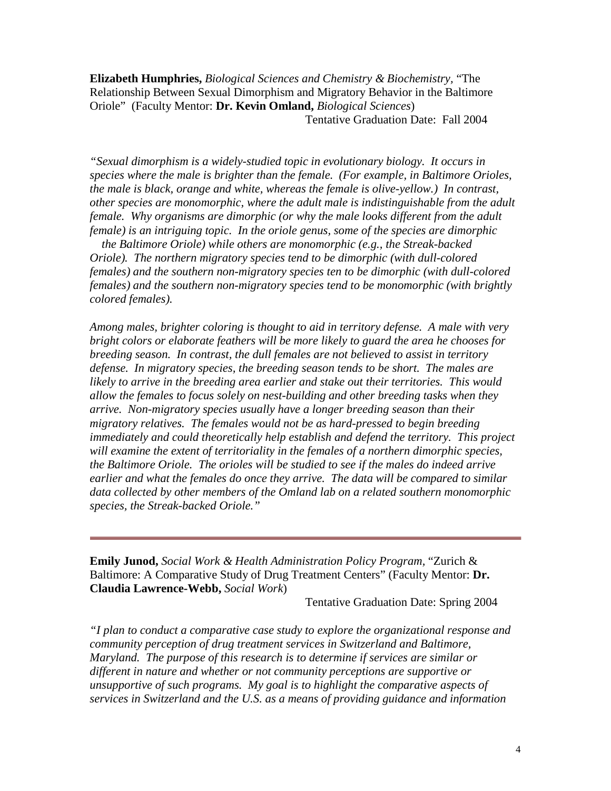**Elizabeth Humphries,** *Biological Sciences and Chemistry & Biochemistry,* "The Relationship Between Sexual Dimorphism and Migratory Behavior in the Baltimore Oriole" (Faculty Mentor: **Dr. Kevin Omland,** *Biological Sciences*) Tentative Graduation Date: Fall 2004

*"Sexual dimorphism is a widely-studied topic in evolutionary biology. It occurs in species where the male is brighter than the female. (For example, in Baltimore Orioles, the male is black, orange and white, whereas the female is olive-yellow.) In contrast, other species are monomorphic, where the adult male is indistinguishable from the adult female. Why organisms are dimorphic (or why the male looks different from the adult female) is an intriguing topic. In the oriole genus, some of the species are dimorphic*

*the Baltimore Oriole) while others are monomorphic (e.g., the Streak-backed Oriole). The northern migratory species tend to be dimorphic (with dull-colored females) and the southern non-migratory species ten to be dimorphic (with dull-colored females) and the southern non-migratory species tend to be monomorphic (with brightly colored females).*

*Among males, brighter coloring is thought to aid in territory defense. A male with very bright colors or elaborate feathers will be more likely to guard the area he chooses for breeding season. In contrast, the dull females are not believed to assist in territory defense. In migratory species, the breeding season tends to be short. The males are likely to arrive in the breeding area earlier and stake out their territories. This would allow the females to focus solely on nest-building and other breeding tasks when they arrive. Non-migratory species usually have a longer breeding season than their migratory relatives. The females would not be as hard-pressed to begin breeding immediately and could theoretically help establish and defend the territory. This project will examine the extent of territoriality in the females of a northern dimorphic species, the Baltimore Oriole. The orioles will be studied to see if the males do indeed arrive earlier and what the females do once they arrive. The data will be compared to similar data collected by other members of the Omland lab on a related southern monomorphic species, the Streak-backed Oriole."*

**Emily Junod,** *Social Work & Health Administration Policy Program,* "Zurich & Baltimore: A Comparative Study of Drug Treatment Centers" (Faculty Mentor: **Dr. Claudia Lawrence-Webb,** *Social Work*)

Tentative Graduation Date: Spring 2004

*"I plan to conduct a comparative case study to explore the organizational response and community perception of drug treatment services in Switzerland and Baltimore, Maryland. The purpose of this research is to determine if services are similar or different in nature and whether or not community perceptions are supportive or unsupportive of such programs. My goal is to highlight the comparative aspects of services in Switzerland and the U.S. as a means of providing guidance and information*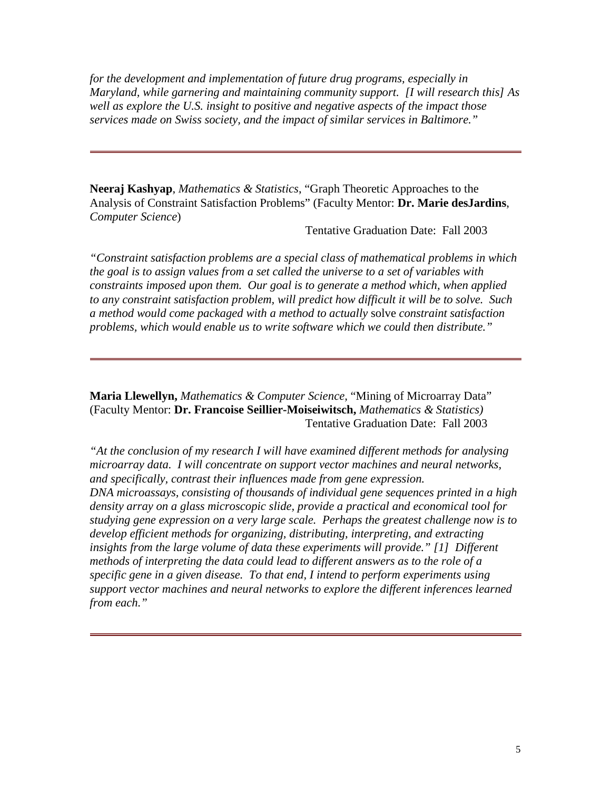*for the development and implementation of future drug programs, especially in Maryland, while garnering and maintaining community support. [I will research this] As well as explore the U.S. insight to positive and negative aspects of the impact those services made on Swiss society, and the impact of similar services in Baltimore."*

**Neeraj Kashyap**, *Mathematics & Statistics*, "Graph Theoretic Approaches to the Analysis of Constraint Satisfaction Problems" (Faculty Mentor: **Dr. Marie desJardins**, *Computer Science*)

Tentative Graduation Date: Fall 2003

*"Constraint satisfaction problems are a special class of mathematical problems in which the goal is to assign values from a set called the universe to a set of variables with constraints imposed upon them. Our goal is to generate a method which, when applied to any constraint satisfaction problem, will predict how difficult it will be to solve. Such a method would come packaged with a method to actually* solve *constraint satisfaction problems, which would enable us to write software which we could then distribute."*

**Maria Llewellyn,** *Mathematics & Computer Science,* "Mining of Microarray Data" (Faculty Mentor: **Dr. Francoise Seillier-Moiseiwitsch,** *Mathematics & Statistics)* Tentative Graduation Date: Fall 2003

*"At the conclusion of my research I will have examined different methods for analysing microarray data. I will concentrate on support vector machines and neural networks, and specifically, contrast their influences made from gene expression. DNA microassays, consisting of thousands of individual gene sequences printed in a high density array on a glass microscopic slide, provide a practical and economical tool for studying gene expression on a very large scale. Perhaps the greatest challenge now is to develop efficient methods for organizing, distributing, interpreting, and extracting insights from the large volume of data these experiments will provide." [1] Different methods of interpreting the data could lead to different answers as to the role of a specific gene in a given disease. To that end, I intend to perform experiments using support vector machines and neural networks to explore the different inferences learned from each."*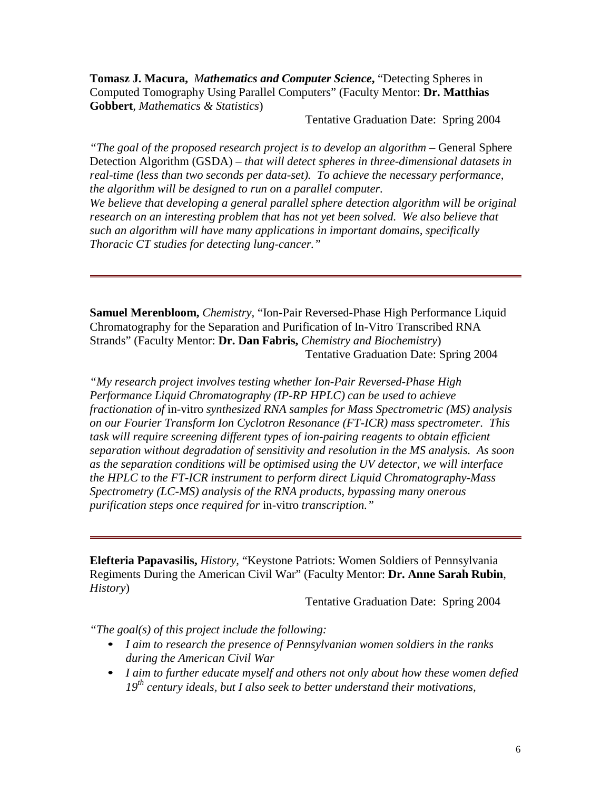**Tomasz J. Macura,** *Mathematics and Computer Science***,** "Detecting Spheres in Computed Tomography Using Parallel Computers" (Faculty Mentor: **Dr. Matthias Gobbert***, Mathematics & Statistics*)

Tentative Graduation Date: Spring 2004

*"The goal of the proposed research project is to develop an algorithm –* General Sphere Detection Algorithm (GSDA) *– that will detect spheres in three-dimensional datasets in real-time (less than two seconds per data-set). To achieve the necessary performance, the algorithm will be designed to run on a parallel computer.*

*We believe that developing a general parallel sphere detection algorithm will be original research on an interesting problem that has not yet been solved. We also believe that such an algorithm will have many applications in important domains, specifically Thoracic CT studies for detecting lung-cancer."*

**Samuel Merenbloom,** *Chemistry,* "Ion-Pair Reversed-Phase High Performance Liquid Chromatography for the Separation and Purification of In-Vitro Transcribed RNA Strands" (Faculty Mentor: **Dr. Dan Fabris,** *Chemistry and Biochemistry*) Tentative Graduation Date: Spring 2004

*"My research project involves testing whether Ion-Pair Reversed-Phase High Performance Liquid Chromatography (IP-RP HPLC) can be used to achieve fractionation of* in-vitro *synthesized RNA samples for Mass Spectrometric (MS) analysis on our Fourier Transform Ion Cyclotron Resonance (FT-ICR) mass spectrometer. This task will require screening different types of ion-pairing reagents to obtain efficient separation without degradation of sensitivity and resolution in the MS analysis. As soon as the separation conditions will be optimised using the UV detector, we will interface the HPLC to the FT-ICR instrument to perform direct Liquid Chromatography-Mass Spectrometry (LC-MS) analysis of the RNA products, bypassing many onerous purification steps once required for* in-vitro *transcription."*

**Elefteria Papavasilis,** *History,* "Keystone Patriots: Women Soldiers of Pennsylvania Regiments During the American Civil War" (Faculty Mentor: **Dr. Anne Sarah Rubin**, *History*)

Tentative Graduation Date: Spring 2004

*"The goal(s) of this project include the following:*

- *I aim to research the presence of Pennsylvanian women soldiers in the ranks during the American Civil War*
- *I aim to further educate myself and others not only about how these women defied 19th century ideals, but I also seek to better understand their motivations,*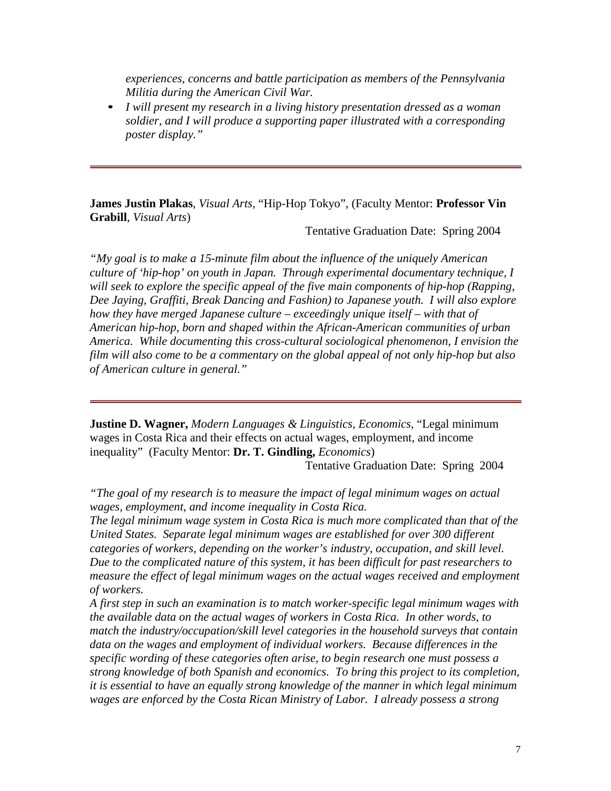*experiences, concerns and battle participation as members of the Pennsylvania Militia during the American Civil War.*

• *I will present my research in a living history presentation dressed as a woman soldier, and I will produce a supporting paper illustrated with a corresponding poster display."*

**James Justin Plakas**, *Visual Arts,* "Hip-Hop Tokyo", (Faculty Mentor: **Professor Vin Grabill**, *Visual Arts*)

Tentative Graduation Date: Spring 2004

*"My goal is to make a 15-minute film about the influence of the uniquely American culture of 'hip-hop' on youth in Japan. Through experimental documentary technique, I will seek to explore the specific appeal of the five main components of hip-hop (Rapping, Dee Jaying, Graffiti, Break Dancing and Fashion) to Japanese youth. I will also explore how they have merged Japanese culture – exceedingly unique itself – with that of American hip-hop, born and shaped within the African-American communities of urban America. While documenting this cross-cultural sociological phenomenon, I envision the film will also come to be a commentary on the global appeal of not only hip-hop but also of American culture in general."*

**Justine D. Wagner,** *Modern Languages & Linguistics, Economics,* "Legal minimum wages in Costa Rica and their effects on actual wages, employment, and income inequality" (Faculty Mentor: **Dr. T. Gindling,** *Economics*)

Tentative Graduation Date: Spring 2004

*"The goal of my research is to measure the impact of legal minimum wages on actual wages, employment, and income inequality in Costa Rica.*

*The legal minimum wage system in Costa Rica is much more complicated than that of the United States. Separate legal minimum wages are established for over 300 different categories of workers, depending on the worker's industry, occupation, and skill level. Due to the complicated nature of this system, it has been difficult for past researchers to measure the effect of legal minimum wages on the actual wages received and employment of workers.*

*A first step in such an examination is to match worker-specific legal minimum wages with the available data on the actual wages of workers in Costa Rica. In other words, to match the industry/occupation/skill level categories in the household surveys that contain data on the wages and employment of individual workers. Because differences in the specific wording of these categories often arise, to begin research one must possess a strong knowledge of both Spanish and economics. To bring this project to its completion, it is essential to have an equally strong knowledge of the manner in which legal minimum wages are enforced by the Costa Rican Ministry of Labor. I already possess a strong*